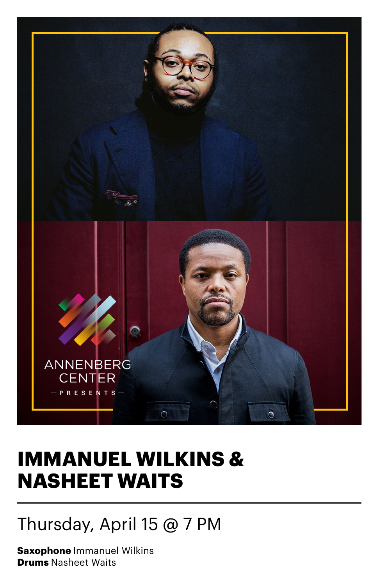

## **IMMANUEL WILKINS & NASHEET WAITS**

### Thursday, April 15 @ 7 PM

**Saxophone** Immanuel Wilkins **Drums** Nasheet Waits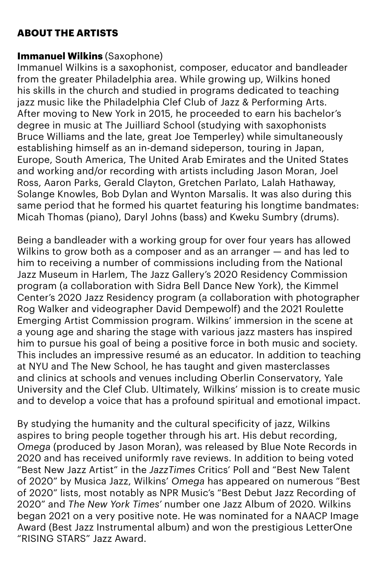#### **ABOUT THE ARTISTS**

#### **Immanuel Wilkins** (Saxophone)

Immanuel Wilkins is a saxophonist, composer, educator and bandleader from the greater Philadelphia area. While growing up, Wilkins honed his skills in the church and studied in programs dedicated to teaching jazz music like the Philadelphia Clef Club of Jazz & Performing Arts. After moving to New York in 2015, he proceeded to earn his bachelor's degree in music at The Juilliard School (studying with saxophonists Bruce Williams and the late, great Joe Temperley) while simultaneously establishing himself as an in-demand sideperson, touring in Japan, Europe, South America, The United Arab Emirates and the United States and working and/or recording with artists including Jason Moran, Joel Ross, Aaron Parks, Gerald Clayton, Gretchen Parlato, Lalah Hathaway, Solange Knowles, Bob Dylan and Wynton Marsalis. It was also during this same period that he formed his quartet featuring his longtime bandmates: Micah Thomas (piano), Daryl Johns (bass) and Kweku Sumbry (drums).

Being a bandleader with a working group for over four years has allowed Wilkins to grow both as a composer and as an arranger — and has led to him to receiving a number of commissions including from the National Jazz Museum in Harlem, The Jazz Gallery's 2020 Residency Commission program (a collaboration with Sidra Bell Dance New York), the Kimmel Center's 2020 Jazz Residency program (a collaboration with photographer Rog Walker and videographer David Dempewolf) and the 2021 Roulette Emerging Artist Commission program. Wilkins' immersion in the scene at a young age and sharing the stage with various jazz masters has inspired him to pursue his goal of being a positive force in both music and society. This includes an impressive resumé as an educator. In addition to teaching at NYU and The New School, he has taught and given masterclasses and clinics at schools and venues including Oberlin Conservatory, Yale University and the Clef Club. Ultimately, Wilkins' mission is to create music and to develop a voice that has a profound spiritual and emotional impact.

By studying the humanity and the cultural specificity of jazz, Wilkins aspires to bring people together through his art. His debut recording, *Omega* (produced by Jason Moran), was released by Blue Note Records in 2020 and has received uniformly rave reviews. In addition to being voted "Best New Jazz Artist" in the *JazzTimes* Critics' Poll and "Best New Talent of 2020" by Musica Jazz, Wilkins' *Omega* has appeared on numerous "Best of 2020" lists, most notably as NPR Music's "Best Debut Jazz Recording of 2020" and *The New York Times'* number one Jazz Album of 2020. Wilkins began 2021 on a very positive note. He was nominated for a NAACP Image Award (Best Jazz Instrumental album) and won the prestigious LetterOne "RISING STARS" Jazz Award.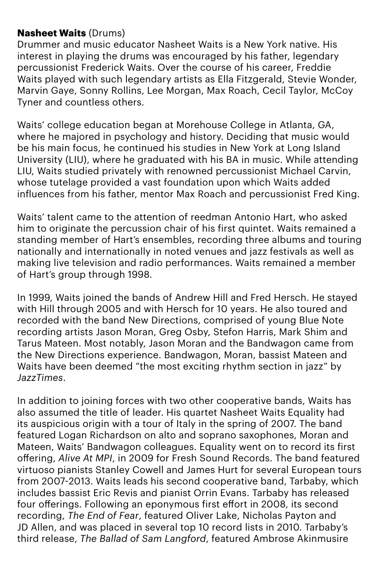#### **Nasheet Waits** (Drums)

Drummer and music educator Nasheet Waits is a New York native. His interest in playing the drums was encouraged by his father, legendary percussionist Frederick Waits. Over the course of his career, Freddie Waits played with such legendary artists as Ella Fitzgerald, Stevie Wonder, Marvin Gaye, Sonny Rollins, Lee Morgan, Max Roach, Cecil Taylor, McCoy Tyner and countless others.

Waits' college education began at Morehouse College in Atlanta, GA, where he majored in psychology and history. Deciding that music would be his main focus, he continued his studies in New York at Long Island University (LIU), where he graduated with his BA in music. While attending LIU, Waits studied privately with renowned percussionist Michael Carvin, whose tutelage provided a vast foundation upon which Waits added influences from his father, mentor Max Roach and percussionist Fred King.

Waits' talent came to the attention of reedman Antonio Hart, who asked him to originate the percussion chair of his first quintet. Waits remained a standing member of Hart's ensembles, recording three albums and touring nationally and internationally in noted venues and jazz festivals as well as making live television and radio performances. Waits remained a member of Hart's group through 1998.

In 1999, Waits joined the bands of Andrew Hill and Fred Hersch. He stayed with Hill through 2005 and with Hersch for 10 years. He also toured and recorded with the band New Directions, comprised of young Blue Note recording artists Jason Moran, Greg Osby, Stefon Harris, Mark Shim and Tarus Mateen. Most notably, Jason Moran and the Bandwagon came from the New Directions experience. Bandwagon, Moran, bassist Mateen and Waits have been deemed "the most exciting rhythm section in jazz" by *JazzTimes*.

In addition to joining forces with two other cooperative bands, Waits has also assumed the title of leader. His quartet Nasheet Waits Equality had its auspicious origin with a tour of Italy in the spring of 2007. The band featured Logan Richardson on alto and soprano saxophones, Moran and Mateen, Waits' Bandwagon colleagues. Equality went on to record its first offering, *Alive At MPI*, in 2009 for Fresh Sound Records. The band featured virtuoso pianists Stanley Cowell and James Hurt for several European tours from 2007-2013. Waits leads his second cooperative band, Tarbaby, which includes bassist Eric Revis and pianist Orrin Evans. Tarbaby has released four offerings. Following an eponymous first effort in 2008, its second recording, *The End of Fear*, featured Oliver Lake, Nicholas Payton and JD Allen, and was placed in several top 10 record lists in 2010. Tarbaby's third release, *The Ballad of Sam Langford*, featured Ambrose Akinmusire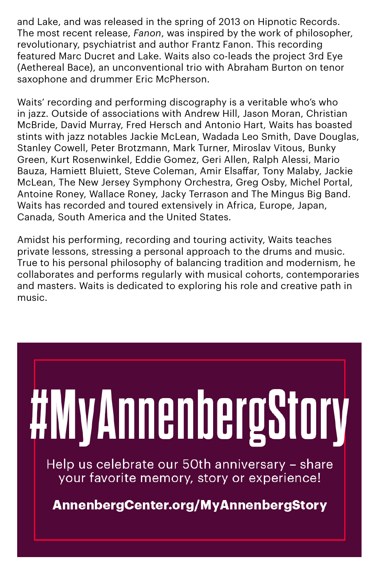and Lake, and was released in the spring of 2013 on Hipnotic Records. The most recent release, *Fanon*, was inspired by the work of philosopher, revolutionary, psychiatrist and author Frantz Fanon. This recording featured Marc Ducret and Lake. Waits also co-leads the project 3rd Eye (Aethereal Bace), an unconventional trio with Abraham Burton on tenor saxophone and drummer Eric McPherson.

Waits' recording and performing discography is a veritable who's who in jazz. Outside of associations with Andrew Hill, Jason Moran, Christian McBride, David Murray, Fred Hersch and Antonio Hart, Waits has boasted stints with jazz notables Jackie McLean, Wadada Leo Smith, Dave Douglas, Stanley Cowell, Peter Brotzmann, Mark Turner, Miroslav Vitous, Bunky Green, Kurt Rosenwinkel, Eddie Gomez, Geri Allen, Ralph Alessi, Mario Bauza, Hamiett Bluiett, Steve Coleman, Amir Elsaffar, Tony Malaby, Jackie McLean, The New Jersey Symphony Orchestra, Greg Osby, Michel Portal, Antoine Roney, Wallace Roney, Jacky Terrason and The Mingus Big Band. Waits has recorded and toured extensively in Africa, Europe, Japan, Canada, South America and the United States.

Amidst his performing, recording and touring activity, Waits teaches private lessons, stressing a personal approach to the drums and music. True to his personal philosophy of balancing tradition and modernism, he collaborates and performs regularly with musical cohorts, contemporaries and masters. Waits is dedicated to exploring his role and creative path in music.